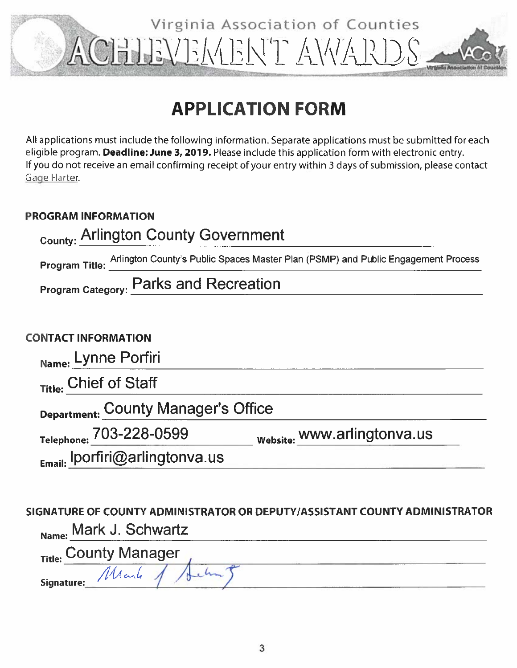# Virginia Association of Counties ACHIEVEMENT AWART

## **APPLICATION FORM**

All applications must include the following information. Separate applications must be submitted for each eligible program. Deadline: June 3, 2019. Please include this application form with electronic entry. If you do not receive an email confirming receipt of your entry within 3 days of submission, please contact Gage Harter.

### **PROGRAM INFORMATION**

| <sub>County:</sub> Arlington County Government                                                   |
|--------------------------------------------------------------------------------------------------|
| Program Title: Arlington County's Public Spaces Master Plan (PSMP) and Public Engagement Process |
| <b>Program Category: Parks and Recreation</b>                                                    |
|                                                                                                  |
| <b>ONTACT INFORMATION</b>                                                                        |
| Name: Lynne Porfiri                                                                              |
| Title: Chief of Staff                                                                            |
| $\sim$ $\sim$ $\sim$ $\sim$ $\sim$ $\sim$ $\sim$                                                 |

 $C($ 

Department: County Manager's Office

Telephone: 703-228-0599

website: www.arlingtonva.us

Email: Iporfiri@arlingtonva.us

SIGNATURE OF COUNTY ADMINISTRATOR OR DEPUTY/ASSISTANT COUNTY ADMINISTRATOR Mark J. Schwartz

| Title: County Manager | --- |
|-----------------------|-----|
| Signature: Mark       |     |
|                       |     |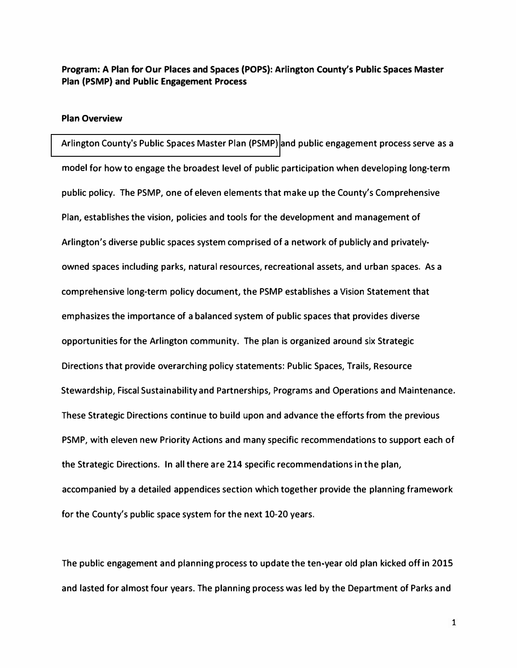**Program: A Plan for Our Places and Spaces (POPS): Arlington County's Public Spaces Master Plan (PSMP) and Public Engagement Process** 

#### **Plan Overview**

**[Arlington County's Public Spaces Master Plan \(PSMP\)](http://arlingtonparks.us/psmp/PSMP.pdf) and public engagement process serve as a model for how to engage the broadest level of public participation when developing long-term public policy. The PSMP, one of eleven elements that make up the County's Comprehensive Plan, establishes the vision, policies and tools for the development and management of Arlington's diverse public spaces system comprised of a network of publicly and privatelyowned spaces including parks, natural resources, recreational assets, and urban spaces. As a comprehensive long-term policy document, the PSMP establishes a Vision Statement that emphasizes the importance of a balanced system of public spaces that provides diverse opportunities for the Arlington community. The plan is organized around six Strategic Directions that provide overarching policy statements: Public Spaces, Trails, Resource Stewardship, Fiscal Sustainability and Partnerships, Programs and Operations and Maintenance. These Strategic Directions continue to build upon and advance the efforts from the previous PSMP, with eleven new Priority Actions and many specific recommendations to support each of the Strategic Directions. In all there are 214 specific recommendations in the plan, accompanied by a detailed appendices section which together provide the planning framework for the County's public space system for the next 10-20 years.** 

**The public engagement and planning process to update the ten�year old plan kicked off in 2015 and lasted for almost four years. The planning process was led by the Department of Parks and**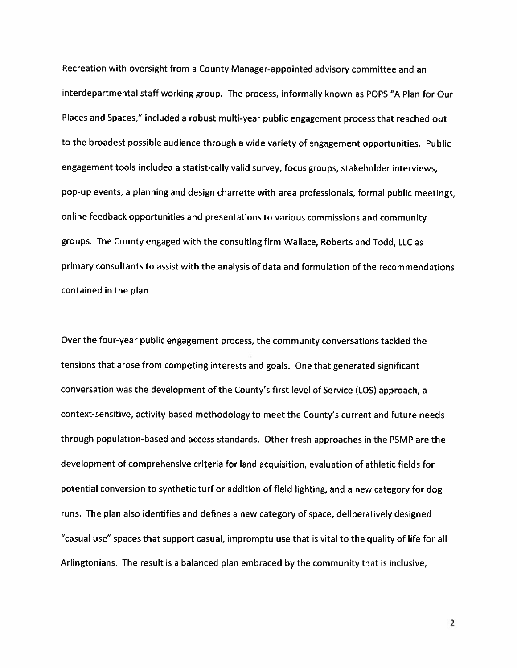Recreation with oversight from a County Manager-appointed advisory committee and an interdepartmental staff working group. The process, informally known as POPS "A Plan for Our Places and Spaces," included a robust multi-year public engagement process that reached out to the broadest possible audience through a wide variety of engagement opportunities. Public engagement tools included a statistically valid survey, focus groups, stakeholder interviews, pop-up events, a planning and design charrette with area professionals, formal public meetings, online feedback opportunities and presentations to various commissions and community groups. The County engaged with the consulting firm Wallace, Roberts and Todd, LLC as primary consultants to assist with the analysis of data and formulation of the recommendations contained in the plan.

Over the four-year public engagement process, the community conversations tackled the tensions that arose from competing interests and goals. One that generated significant conversation was the development of the County's first level of Service (LOS) approach, a context-sensitive, activity-based methodology to meet the County's current and future needs through population-based and access standards. Other fresh approaches in the PSMP are the development of comprehensive criteria for land acquisition, evaluation of athletic fields for potential conversion to synthetic turf or addition of field lighting, and a new category for dog runs. The plan also identifies and defines a new category of space, deliberatively designed "casual use" spaces that support casual, impromptu use that is vital to the quality of life for all Arlingtonians. The result is a balanced plan embraced by the community that is inclusive,

 $\overline{2}$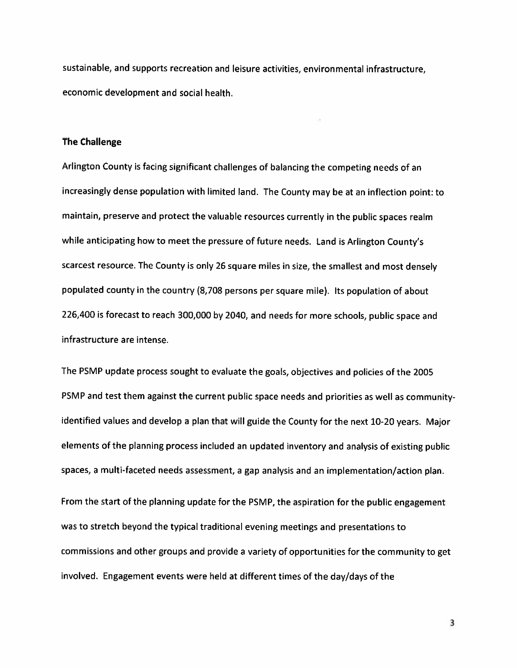sustainable, and supports recreation and leisure activities, environmental infrastructure, economic development and social health.

#### **The Challenge**

Arlington County is facing significant challenges of balancing the competing needs of an increasingly dense population with limited land. The County may be at an inflection point: to maintain, preserve and protect the valuable resources currently in the public spaces realm while anticipating how to meet the pressure of future needs. Land is Arlington County's scarcest resource. The County is only 26 square miles in size, the smallest and most densely populated county in the country (8,708 persons per square mile). Its population of about 226,400 is forecast to reach 300,000 by 2040, and needs for more schools, public space and infrastructure are intense.

The PSMP update process sought to evaluate the goals, objectives and policies of the 2005 PSMP and test them against the current public space needs and priorities as well as communityidentified values and develop a plan that will guide the County for the next 10-20 years. Major elements of the planning process included an updated inventory and analysis of existing public spaces, a multi-faceted needs assessment, a gap analysis and an implementation/action plan. From the start of the planning update for the PSMP, the aspiration for the public engagement was to stretch beyond the typical traditional evening meetings and presentations to commissions and other groups and provide a variety of opportunities for the community to get involved. Engagement events were held at different times of the day/days of the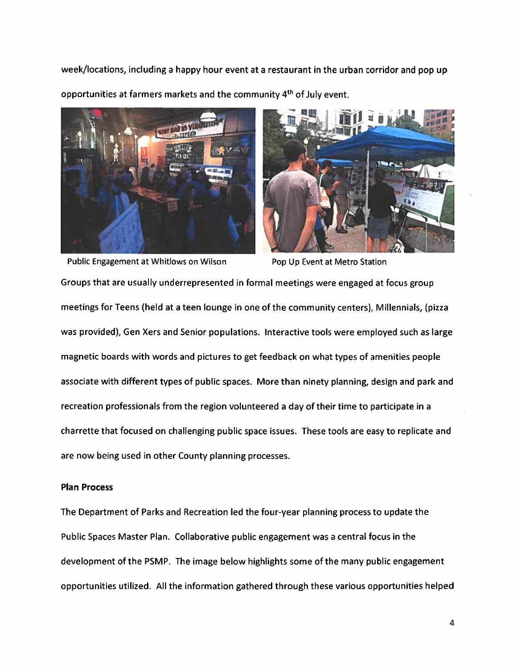week/locations, including a happy hour event at a restaurant in the urban corridor and pop up opportunities at farmers markets and the community 4<sup>th</sup> of July event.





Public Engagement at Whitlows on Wilson

Pop Up Event at Metro Station

Groups that are usually underrepresented in formal meetings were engaged at focus group meetings for Teens (held at a teen lounge in one of the community centers), Millennials, (pizza was provided), Gen Xers and Senior populations. Interactive tools were employed such as large magnetic boards with words and pictures to get feedback on what types of amenities people associate with different types of public spaces. More than ninety planning, design and park and recreation professionals from the region volunteered a day of their time to participate in a charrette that focused on challenging public space issues. These tools are easy to replicate and are now being used in other County planning processes.

#### **Plan Process**

The Department of Parks and Recreation led the four-year planning process to update the Public Spaces Master Plan. Collaborative public engagement was a central focus in the development of the PSMP. The image below highlights some of the many public engagement opportunities utilized. All the information gathered through these various opportunities helped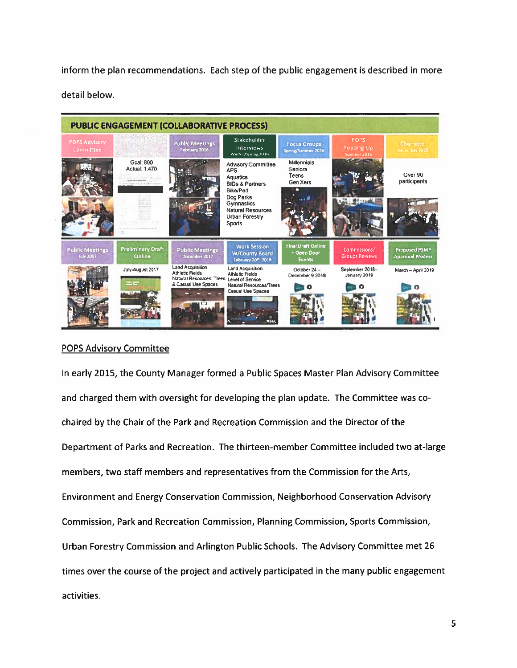inform the plan recommendations. Each step of the public engagement is described in more detail below.



#### **POPS Advisory Committee**

In early 2015, the County Manager formed a Public Spaces Master Plan Advisory Committee and charged them with oversight for developing the plan update. The Committee was cochaired by the Chair of the Park and Recreation Commission and the Director of the Department of Parks and Recreation. The thirteen-member Committee included two at-large members, two staff members and representatives from the Commission for the Arts, Environment and Energy Conservation Commission, Neighborhood Conservation Advisory Commission, Park and Recreation Commission, Planning Commission, Sports Commission, Urban Forestry Commission and Arlington Public Schools. The Advisory Committee met 26 times over the course of the project and actively participated in the many public engagement activities.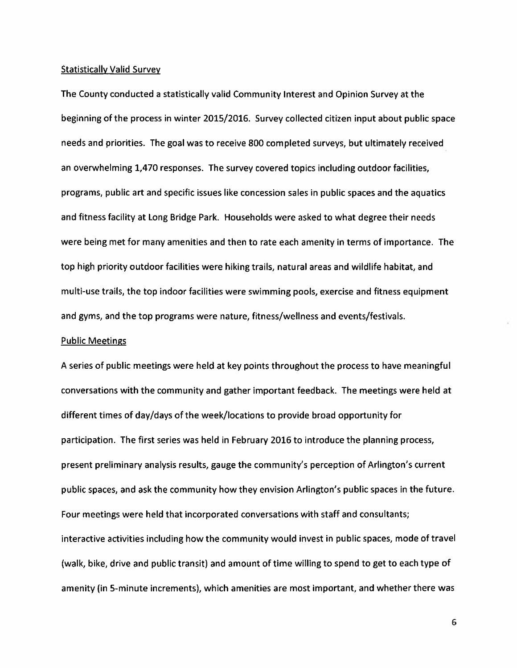#### **Statistically Valid Survey**

The County conducted a statistically valid Community Interest and Opinion Survey at the beginning of the process in winter 2015/2016. Survey collected citizen input about public space needs and priorities. The goal was to receive 800 completed surveys, but ultimately received an overwhelming 1,470 responses. The survey covered topics including outdoor facilities, programs, public art and specific issues like concession sales in public spaces and the aquatics and fitness facility at Long Bridge Park. Households were asked to what degree their needs were being met for many amenities and then to rate each amenity in terms of importance. The top high priority outdoor facilities were hiking trails, natural areas and wildlife habitat, and multi-use trails, the top indoor facilities were swimming pools, exercise and fitness equipment and gyms, and the top programs were nature, fitness/wellness and events/festivals.

#### **Public Meetings**

A series of public meetings were held at key points throughout the process to have meaningful conversations with the community and gather important feedback. The meetings were held at different times of day/days of the week/locations to provide broad opportunity for participation. The first series was held in February 2016 to introduce the planning process, present preliminary analysis results, gauge the community's perception of Arlington's current public spaces, and ask the community how they envision Arlington's public spaces in the future. Four meetings were held that incorporated conversations with staff and consultants; interactive activities including how the community would invest in public spaces, mode of travel (walk, bike, drive and public transit) and amount of time willing to spend to get to each type of amenity (in 5-minute increments), which amenities are most important, and whether there was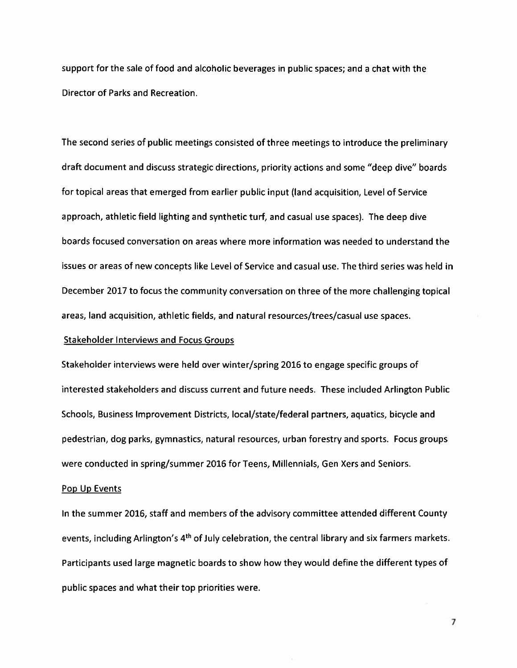support for the sale of food and alcoholic beverages in public spaces; and a chat with the Director of Parks and Recreation.

The second series of public meetings consisted of three meetings to introduce the preliminary draft document and discuss strategic directions, priority actions and some "deep dive" boards for topical areas that emerged from earlier public input (land acquisition, Level of Service approach, athletic field lighting and synthetic turf, and casual use spaces). The deep dive boards focused conversation on areas where more information was needed to understand the issues or areas of new concepts like Level of Service and casual use. The third series was held in December 2017 to focus the community conversation on three of the more challenging topical areas, land acquisition, athletic fields, and natural resources/trees/casual use spaces.

#### **Stakeholder Interviews and Focus Groups**

Stakeholder interviews were held over winter/spring 2016 to engage specific groups of interested stakeholders and discuss current and future needs. These included Arlington Public Schools, Business Improvement Districts, local/state/federal partners, aquatics, bicycle and pedestrian, dog parks, gymnastics, natural resources, urban forestry and sports. Focus groups were conducted in spring/summer 2016 for Teens, Millennials, Gen Xers and Seniors.

#### Pop Up Events

In the summer 2016, staff and members of the advisory committee attended different County events, including Arlington's 4<sup>th</sup> of July celebration, the central library and six farmers markets. Participants used large magnetic boards to show how they would define the different types of public spaces and what their top priorities were.

 $\overline{7}$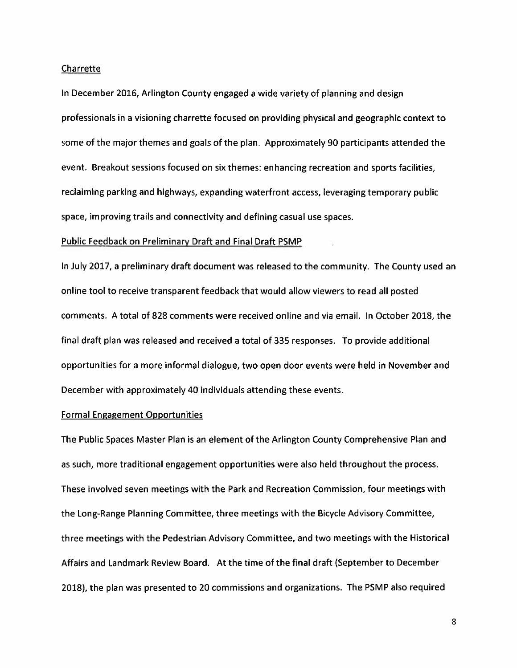#### Charrette

In December 2016, Arlington County engaged a wide variety of planning and design professionals in a visioning charrette focused on providing physical and geographic context to some of the major themes and goals of the plan. Approximately 90 participants attended the event. Breakout sessions focused on six themes: enhancing recreation and sports facilities, reclaiming parking and highways, expanding waterfront access, leveraging temporary public space, improving trails and connectivity and defining casual use spaces.

#### **Public Feedback on Preliminary Draft and Final Draft PSMP**

In July 2017, a preliminary draft document was released to the community. The County used an online tool to receive transparent feedback that would allow viewers to read all posted comments. A total of 828 comments were received online and via email. In October 2018, the final draft plan was released and received a total of 335 responses. To provide additional opportunities for a more informal dialogue, two open door events were held in November and December with approximately 40 individuals attending these events.

#### **Formal Engagement Opportunities**

The Public Spaces Master Plan is an element of the Arlington County Comprehensive Plan and as such, more traditional engagement opportunities were also held throughout the process. These involved seven meetings with the Park and Recreation Commission, four meetings with the Long-Range Planning Committee, three meetings with the Bicycle Advisory Committee, three meetings with the Pedestrian Advisory Committee, and two meetings with the Historical Affairs and Landmark Review Board. At the time of the final draft (September to December 2018), the plan was presented to 20 commissions and organizations. The PSMP also required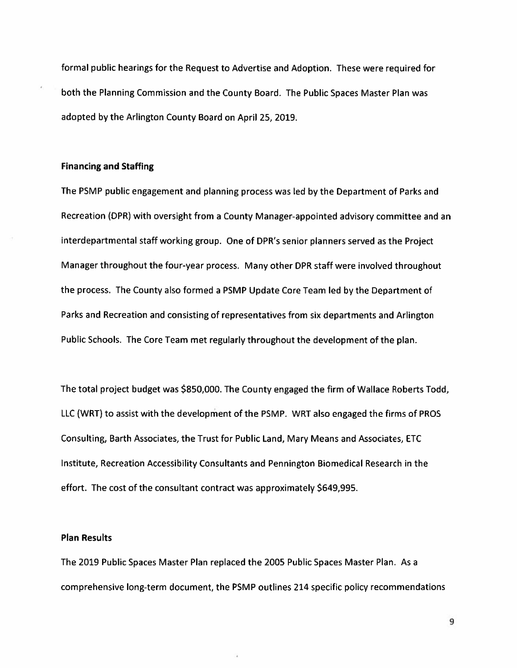formal public hearings for the Request to Advertise and Adoption. These were required for both the Planning Commission and the County Board. The Public Spaces Master Plan was adopted by the Arlington County Board on April 25, 2019.

#### **Financing and Staffing**

The PSMP public engagement and planning process was led by the Department of Parks and Recreation (DPR) with oversight from a County Manager-appointed advisory committee and an interdepartmental staff working group. One of DPR's senior planners served as the Project Manager throughout the four-year process. Many other DPR staff were involved throughout the process. The County also formed a PSMP Update Core Team led by the Department of Parks and Recreation and consisting of representatives from six departments and Arlington Public Schools. The Core Team met regularly throughout the development of the plan.

The total project budget was \$850,000. The County engaged the firm of Wallace Roberts Todd, LLC (WRT) to assist with the development of the PSMP. WRT also engaged the firms of PROS Consulting, Barth Associates, the Trust for Public Land, Mary Means and Associates, ETC Institute, Recreation Accessibility Consultants and Pennington Biomedical Research in the effort. The cost of the consultant contract was approximately \$649,995.

#### **Plan Results**

The 2019 Public Spaces Master Plan replaced the 2005 Public Spaces Master Plan. As a comprehensive long-term document, the PSMP outlines 214 specific policy recommendations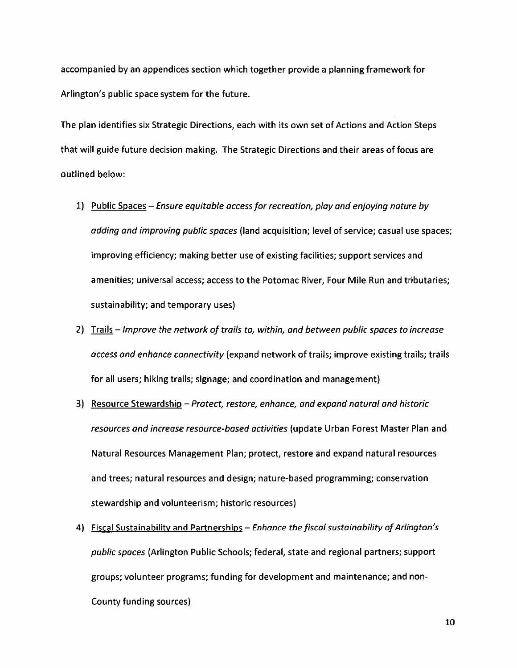accompanied by an appendices section which together provide a planning framework for Arlington's public space system for the future.

The plan identifies six Strategic Directions, each with its own set of Actions and Action Steps that will guide future decision making. The Strategic Directions and their areas of focus are outlined below:

- 1) Public Spaces Ensure equitable access for recreation, play and enjoying nature by adding and improving public spaces (land acquisition; level of service; casual use spaces; improving efficiency; making better use of existing facilities; support services and amenities; universal access; access to the Potomac River, Four Mile Run and tributaries; sustainability; and temporary uses)
- 2) Trails Improve the network of trails to, within, and between public spaces to increase access and enhance connectivity (expand network of trails; improve existing trails; trails for all users; hiking trails; signage; and coordination and management)
- 3) Resource Stewardship Protect, restore, enhance, and expand natural and historic resources and increase resource-based activities (update Urban Forest Master Plan and Natural Resources Management Plan; protect, restore and expand natural resources and trees; natural resources and design; nature-based programming; conservation stewardship and volunteerism; historic resources)
- 4) Fiscal Sustainability and Partnerships Enhance the fiscal sustainability of Arlington's public spaces (Arlington Public Schools; federal, state and regional partners; support groups; volunteer programs; funding for development and maintenance; and non-County funding sources)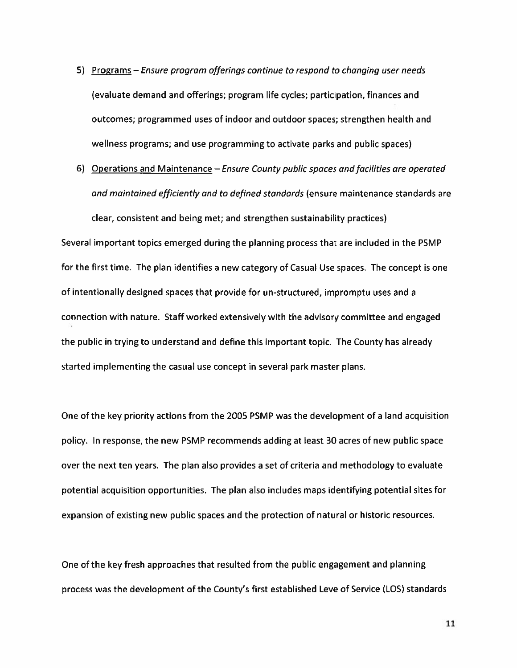- 5) Programs Ensure program offerings continue to respond to changing user needs (evaluate demand and offerings; program life cycles; participation, finances and outcomes; programmed uses of indoor and outdoor spaces; strengthen health and wellness programs; and use programming to activate parks and public spaces)
- 6) Operations and Maintenance Ensure County public spaces and facilities are operated and maintained efficiently and to defined standards (ensure maintenance standards are clear, consistent and being met; and strengthen sustainability practices)

Several important topics emerged during the planning process that are included in the PSMP for the first time. The plan identifies a new category of Casual Use spaces. The concept is one of intentionally designed spaces that provide for un-structured, impromptu uses and a connection with nature. Staff worked extensively with the advisory committee and engaged the public in trying to understand and define this important topic. The County has already started implementing the casual use concept in several park master plans.

One of the key priority actions from the 2005 PSMP was the development of a land acquisition policy. In response, the new PSMP recommends adding at least 30 acres of new public space over the next ten years. The plan also provides a set of criteria and methodology to evaluate potential acquisition opportunities. The plan also includes maps identifying potential sites for expansion of existing new public spaces and the protection of natural or historic resources.

One of the key fresh approaches that resulted from the public engagement and planning process was the development of the County's first established Leve of Service (LOS) standards